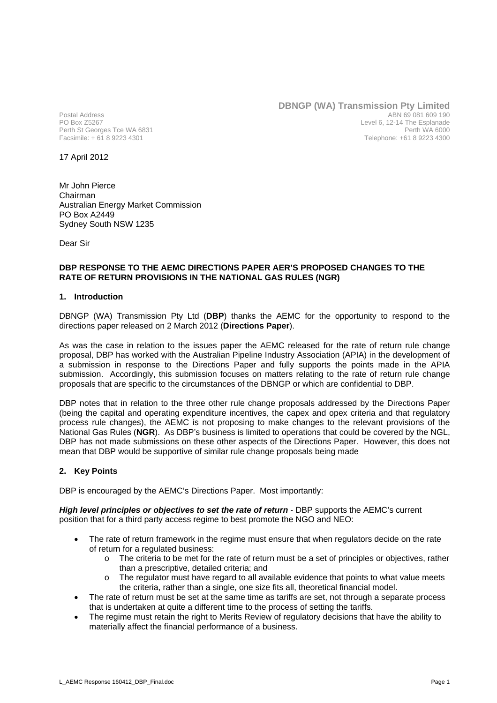Postal Address PO Box Z5267 Perth St Georges Tce WA 6831 Facsimile: + 61 8 9223 4301

**DBNGP (WA) Transmission Pty Limited** ABN 69 081 609 190 Level 6, 12-14 The Esplanade Perth WA 6000 Telephone: +61 8 9223 4300

17 April 2012

Mr John Pierce Chairman Australian Energy Market Commission PO Box A2449 Sydney South NSW 1235

Dear Sir

## **DBP RESPONSE TO THE AEMC DIRECTIONS PAPER AER'S PROPOSED CHANGES TO THE RATE OF RETURN PROVISIONS IN THE NATIONAL GAS RULES (NGR)**

## **1. Introduction**

DBNGP (WA) Transmission Pty Ltd (**DBP**) thanks the AEMC for the opportunity to respond to the directions paper released on 2 March 2012 (**Directions Paper**).

As was the case in relation to the issues paper the AEMC released for the rate of return rule change proposal, DBP has worked with the Australian Pipeline Industry Association (APIA) in the development of a submission in response to the Directions Paper and fully supports the points made in the APIA submission. Accordingly, this submission focuses on matters relating to the rate of return rule change proposals that are specific to the circumstances of the DBNGP or which are confidential to DBP.

DBP notes that in relation to the three other rule change proposals addressed by the Directions Paper (being the capital and operating expenditure incentives, the capex and opex criteria and that regulatory process rule changes), the AEMC is not proposing to make changes to the relevant provisions of the National Gas Rules (**NGR**). As DBP's business is limited to operations that could be covered by the NGL, DBP has not made submissions on these other aspects of the Directions Paper. However, this does not mean that DBP would be supportive of similar rule change proposals being made

#### **2. Key Points**

DBP is encouraged by the AEMC's Directions Paper. Most importantly:

*High level principles or objectives to set the rate of return* - DBP supports the AEMC's current position that for a third party access regime to best promote the NGO and NEO:

- The rate of return framework in the regime must ensure that when regulators decide on the rate of return for a regulated business:
	- o The criteria to be met for the rate of return must be a set of principles or objectives, rather than a prescriptive, detailed criteria; and
	- o The regulator must have regard to all available evidence that points to what value meets the criteria, rather than a single, one size fits all, theoretical financial model.
- The rate of return must be set at the same time as tariffs are set, not through a separate process that is undertaken at quite a different time to the process of setting the tariffs.
- The regime must retain the right to Merits Review of regulatory decisions that have the ability to materially affect the financial performance of a business.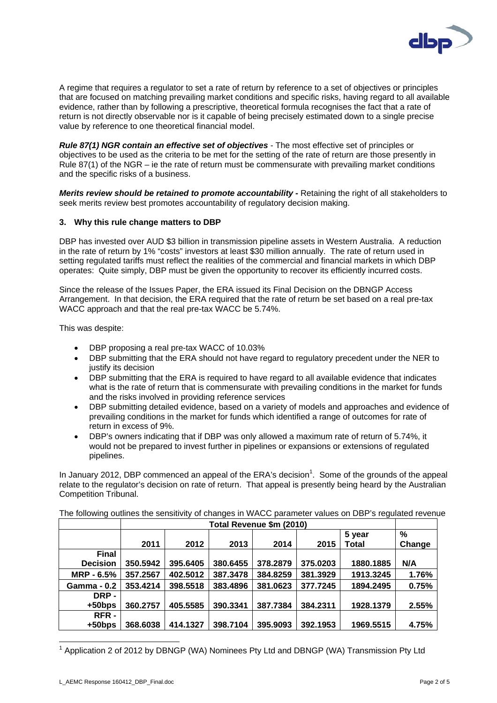

A regime that requires a regulator to set a rate of return by reference to a set of objectives or principles that are focused on matching prevailing market conditions and specific risks, having regard to all available evidence, rather than by following a prescriptive, theoretical formula recognises the fact that a rate of return is not directly observable nor is it capable of being precisely estimated down to a single precise value by reference to one theoretical financial model.

*Rule 87(1) NGR contain an effective set of objectives* - The most effective set of principles or objectives to be used as the criteria to be met for the setting of the rate of return are those presently in Rule 87(1) of the NGR – ie the rate of return must be commensurate with prevailing market conditions and the specific risks of a business.

*Merits review should be retained to promote accountability - Retaining the right of all stakeholders to* seek merits review best promotes accountability of regulatory decision making.

## **3. Why this rule change matters to DBP**

DBP has invested over AUD \$3 billion in transmission pipeline assets in Western Australia. A reduction in the rate of return by 1% "costs" investors at least \$30 million annually. The rate of return used in setting regulated tariffs must reflect the realities of the commercial and financial markets in which DBP operates: Quite simply, DBP must be given the opportunity to recover its efficiently incurred costs.

Since the release of the Issues Paper, the ERA issued its Final Decision on the DBNGP Access Arrangement. In that decision, the ERA required that the rate of return be set based on a real pre-tax WACC approach and that the real pre-tax WACC be 5.74%.

This was despite:

- DBP proposing a real pre-tax WACC of 10.03%
- DBP submitting that the ERA should not have regard to regulatory precedent under the NER to justify its decision
- DBP submitting that the ERA is required to have regard to all available evidence that indicates what is the rate of return that is commensurate with prevailing conditions in the market for funds and the risks involved in providing reference services
- DBP submitting detailed evidence, based on a variety of models and approaches and evidence of prevailing conditions in the market for funds which identified a range of outcomes for rate of return in excess of 9%.
- DBP's owners indicating that if DBP was only allowed a maximum rate of return of 5.74%, it would not be prepared to invest further in pipelines or expansions or extensions of regulated pipelines.

In January 2012, DBP commenced an appeal of the ERA's decision<sup>1</sup>. Some of the grounds of the appeal relate to the regulator's decision on rate of return. That appeal is presently being heard by the Australian Competition Tribunal.

|                    | Total Revenue \$m (2010) |          |          |          |          |           |        |
|--------------------|--------------------------|----------|----------|----------|----------|-----------|--------|
|                    |                          |          |          |          |          | 5 year    | %      |
|                    | 2011                     | 2012     | 2013     | 2014     | 2015     | Total     | Change |
| <b>Final</b>       |                          |          |          |          |          |           |        |
| <b>Decision</b>    | 350.5942                 | 395.6405 | 380.6455 | 378.2879 | 375.0203 | 1880.1885 | N/A    |
| $MRP - 6.5%$       | 357.2567                 | 402.5012 | 387,3478 | 384.8259 | 381.3929 | 1913.3245 | 1.76%  |
| <b>Gamma - 0.2</b> | 353.4214                 | 398.5518 | 383.4896 | 381.0623 | 377.7245 | 1894.2495 | 0.75%  |
| DRP -              |                          |          |          |          |          |           |        |
| $+50$ bps          | 360.2757                 | 405.5585 | 390.3341 | 387.7384 | 384.2311 | 1928.1379 | 2.55%  |
| RFR-               |                          |          |          |          |          |           |        |
| $+50$ bps          | 368.6038                 | 414.1327 | 398.7104 | 395.9093 | 392.1953 | 1969.5515 | 4.75%  |

The following outlines the sensitivity of changes in WACC parameter values on DBP's regulated revenue

 $1$  Application 2 of 2012 by DBNGP (WA) Nominees Pty Ltd and DBNGP (WA) Transmission Pty Ltd

 $\overline{\phantom{a}}$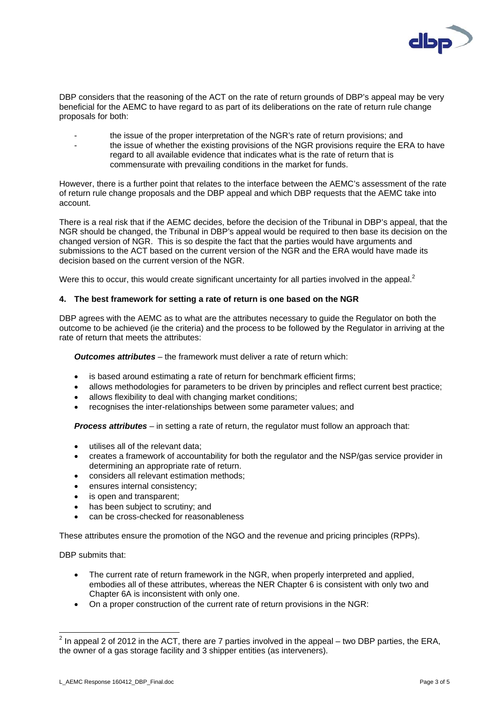

DBP considers that the reasoning of the ACT on the rate of return grounds of DBP's appeal may be very beneficial for the AEMC to have regard to as part of its deliberations on the rate of return rule change proposals for both:

- the issue of the proper interpretation of the NGR's rate of return provisions; and
- the issue of whether the existing provisions of the NGR provisions require the ERA to have regard to all available evidence that indicates what is the rate of return that is commensurate with prevailing conditions in the market for funds.

However, there is a further point that relates to the interface between the AEMC's assessment of the rate of return rule change proposals and the DBP appeal and which DBP requests that the AEMC take into account.

There is a real risk that if the AEMC decides, before the decision of the Tribunal in DBP's appeal, that the NGR should be changed, the Tribunal in DBP's appeal would be required to then base its decision on the changed version of NGR. This is so despite the fact that the parties would have arguments and submissions to the ACT based on the current version of the NGR and the ERA would have made its decision based on the current version of the NGR.

Were this to occur, this would create significant uncertainty for all parties involved in the appeal.<sup>2</sup>

## **4. The best framework for setting a rate of return is one based on the NGR**

DBP agrees with the AEMC as to what are the attributes necessary to guide the Regulator on both the outcome to be achieved (ie the criteria) and the process to be followed by the Regulator in arriving at the rate of return that meets the attributes:

*Outcomes attributes* – the framework must deliver a rate of return which:

- is based around estimating a rate of return for benchmark efficient firms;
- allows methodologies for parameters to be driven by principles and reflect current best practice;
- allows flexibility to deal with changing market conditions;
- recognises the inter-relationships between some parameter values; and

*Process attributes* – in setting a rate of return, the regulator must follow an approach that:

- utilises all of the relevant data;
- creates a framework of accountability for both the regulator and the NSP/gas service provider in determining an appropriate rate of return.
- considers all relevant estimation methods;
- ensures internal consistency:
- is open and transparent;
- has been subject to scrutiny; and
- can be cross-checked for reasonableness

These attributes ensure the promotion of the NGO and the revenue and pricing principles (RPPs).

DBP submits that:

- The current rate of return framework in the NGR, when properly interpreted and applied, embodies all of these attributes, whereas the NER Chapter 6 is consistent with only two and Chapter 6A is inconsistent with only one.
- On a proper construction of the current rate of return provisions in the NGR:

 $\frac{2}{10}$  In appeal 2 of 2012 in the ACT, there are 7 parties involved in the appeal – two DBP parties, the ERA, the owner of a gas storage facility and 3 shipper entities (as interveners).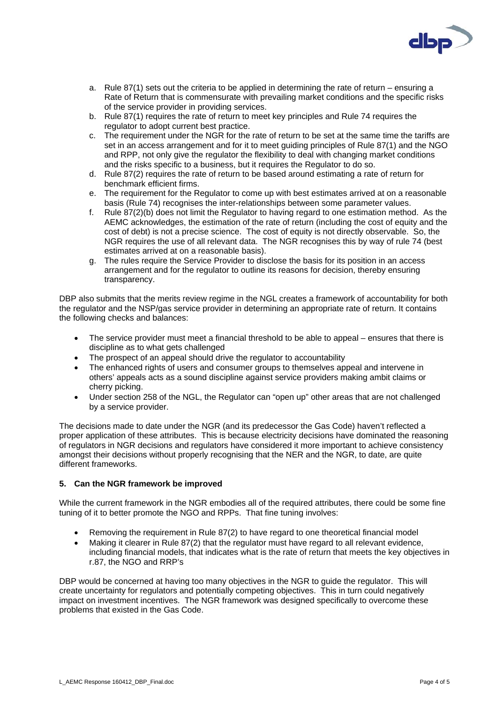

- a. Rule 87(1) sets out the criteria to be applied in determining the rate of return ensuring a Rate of Return that is commensurate with prevailing market conditions and the specific risks of the service provider in providing services.
- b. Rule 87(1) requires the rate of return to meet key principles and Rule 74 requires the regulator to adopt current best practice.
- c. The requirement under the NGR for the rate of return to be set at the same time the tariffs are set in an access arrangement and for it to meet guiding principles of Rule 87(1) and the NGO and RPP, not only give the regulator the flexibility to deal with changing market conditions and the risks specific to a business, but it requires the Regulator to do so.
- d. Rule 87(2) requires the rate of return to be based around estimating a rate of return for benchmark efficient firms.
- e. The requirement for the Regulator to come up with best estimates arrived at on a reasonable basis (Rule 74) recognises the inter-relationships between some parameter values.
- f. Rule 87(2)(b) does not limit the Regulator to having regard to one estimation method. As the AEMC acknowledges, the estimation of the rate of return (including the cost of equity and the cost of debt) is not a precise science. The cost of equity is not directly observable. So, the NGR requires the use of all relevant data. The NGR recognises this by way of rule 74 (best estimates arrived at on a reasonable basis).
- g. The rules require the Service Provider to disclose the basis for its position in an access arrangement and for the regulator to outline its reasons for decision, thereby ensuring transparency.

DBP also submits that the merits review regime in the NGL creates a framework of accountability for both the regulator and the NSP/gas service provider in determining an appropriate rate of return. It contains the following checks and balances:

- The service provider must meet a financial threshold to be able to appeal ensures that there is discipline as to what gets challenged
- The prospect of an appeal should drive the regulator to accountability
- The enhanced rights of users and consumer groups to themselves appeal and intervene in others' appeals acts as a sound discipline against service providers making ambit claims or cherry picking.
- Under section 258 of the NGL, the Regulator can "open up" other areas that are not challenged by a service provider.

The decisions made to date under the NGR (and its predecessor the Gas Code) haven't reflected a proper application of these attributes. This is because electricity decisions have dominated the reasoning of regulators in NGR decisions and regulators have considered it more important to achieve consistency amongst their decisions without properly recognising that the NER and the NGR, to date, are quite different frameworks.

# **5. Can the NGR framework be improved**

While the current framework in the NGR embodies all of the required attributes, there could be some fine tuning of it to better promote the NGO and RPPs. That fine tuning involves:

- Removing the requirement in Rule 87(2) to have regard to one theoretical financial model
- Making it clearer in Rule 87(2) that the regulator must have regard to all relevant evidence, including financial models, that indicates what is the rate of return that meets the key objectives in r.87, the NGO and RRP's

DBP would be concerned at having too many objectives in the NGR to guide the regulator. This will create uncertainty for regulators and potentially competing objectives. This in turn could negatively impact on investment incentives. The NGR framework was designed specifically to overcome these problems that existed in the Gas Code.